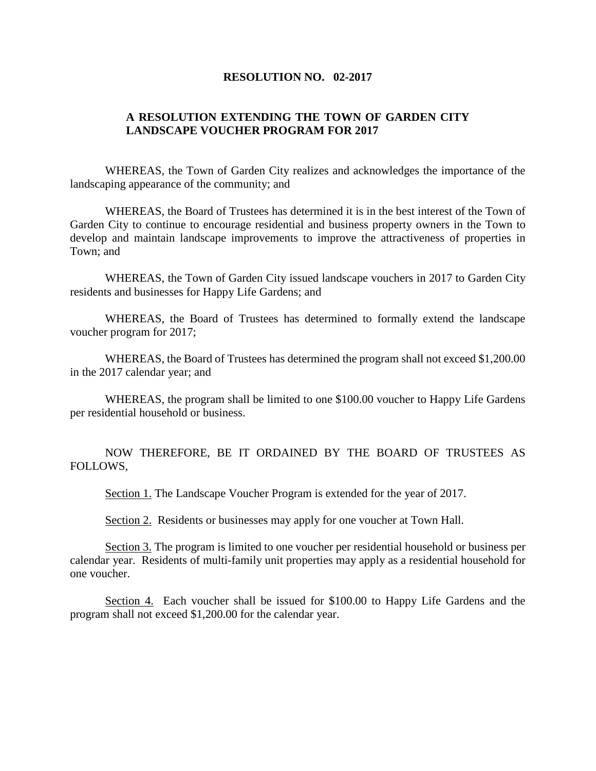## **RESOLUTION NO. 02-2017**

## **A RESOLUTION EXTENDING THE TOWN OF GARDEN CITY LANDSCAPE VOUCHER PROGRAM FOR 2017**

WHEREAS, the Town of Garden City realizes and acknowledges the importance of the landscaping appearance of the community; and

WHEREAS, the Board of Trustees has determined it is in the best interest of the Town of Garden City to continue to encourage residential and business property owners in the Town to develop and maintain landscape improvements to improve the attractiveness of properties in Town; and

WHEREAS, the Town of Garden City issued landscape vouchers in 2017 to Garden City residents and businesses for Happy Life Gardens; and

WHEREAS, the Board of Trustees has determined to formally extend the landscape voucher program for 2017;

WHEREAS, the Board of Trustees has determined the program shall not exceed \$1,200.00 in the 2017 calendar year; and

WHEREAS, the program shall be limited to one \$100.00 voucher to Happy Life Gardens per residential household or business.

NOW THEREFORE, BE IT ORDAINED BY THE BOARD OF TRUSTEES AS FOLLOWS,

Section 1. The Landscape Voucher Program is extended for the year of 2017.

Section 2. Residents or businesses may apply for one voucher at Town Hall.

Section 3. The program is limited to one voucher per residential household or business per calendar year. Residents of multi-family unit properties may apply as a residential household for one voucher.

Section 4. Each voucher shall be issued for \$100.00 to Happy Life Gardens and the program shall not exceed \$1,200.00 for the calendar year.